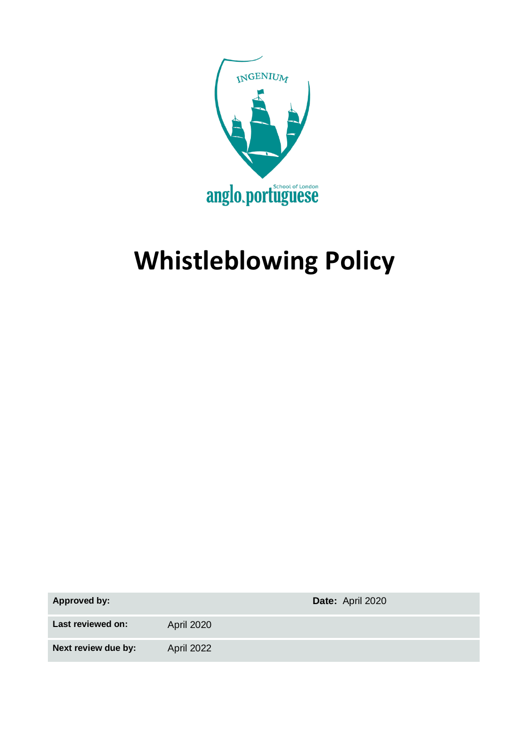

# **Whistleblowing Policy**

**Approved by: Date:** April 2020

Last reviewed on: April 2020

**Next review due by:** April 2022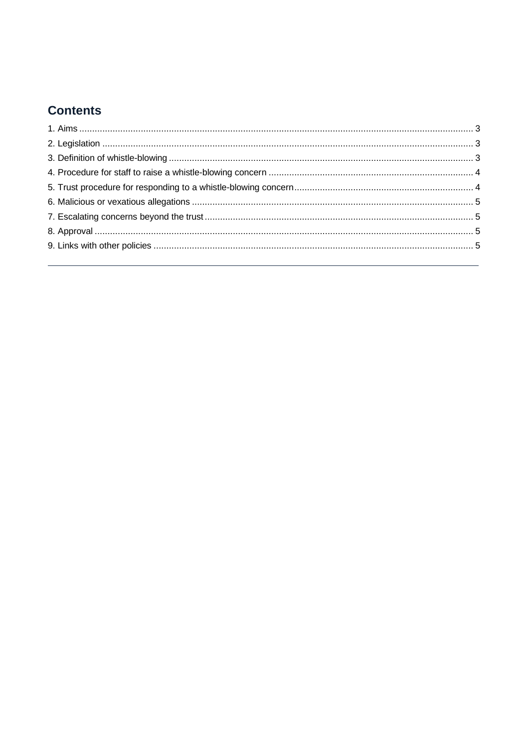## **Contents**

<span id="page-1-0"></span>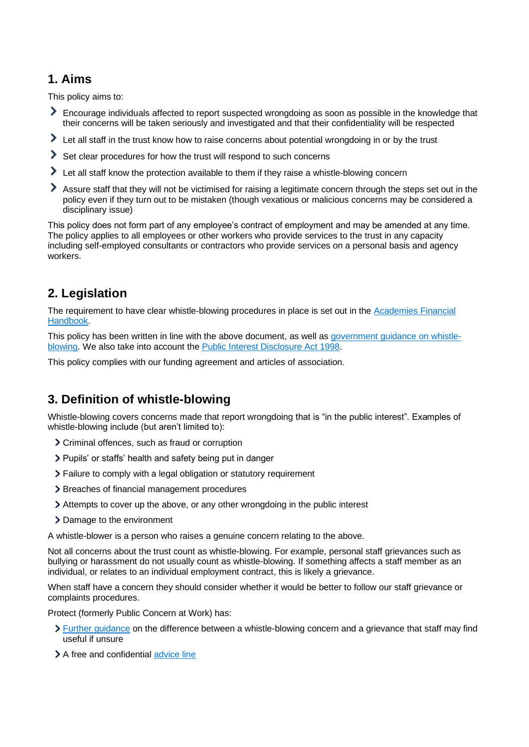## **1. Aims**

This policy aims to:

- Encourage individuals affected to report suspected wrongdoing as soon as possible in the knowledge that their concerns will be taken seriously and investigated and that their confidentiality will be respected
- Let all staff in the trust know how to raise concerns about potential wrongdoing in or by the trust
- Set clear procedures for how the trust will respond to such concerns
- I Let all staff know the protection available to them if they raise a whistle-blowing concern
- Assure staff that they will not be victimised for raising a legitimate concern through the steps set out in the policy even if they turn out to be mistaken (though vexatious or malicious concerns may be considered a disciplinary issue)

This policy does not form part of any employee's contract of employment and may be amended at any time. The policy applies to all employees or other workers who provide services to the trust in any capacity including self-employed consultants or contractors who provide services on a personal basis and agency workers.

## <span id="page-2-0"></span>**2. Legislation**

The requirement to have clear whistle-blowing procedures in place is set out in the [Academies Financial](https://www.gov.uk/government/publications/academies-financial-handbook)  [Handbook.](https://www.gov.uk/government/publications/academies-financial-handbook)

This policy has been written in line with the above document, as well as [government guidance on whistle](https://www.gov.uk/whistleblowing)[blowing.](https://www.gov.uk/whistleblowing) We also take into account the [Public Interest Disclosure Act 1998.](https://www.legislation.gov.uk/ukpga/1998/23/contents)

<span id="page-2-1"></span>This policy complies with our funding agreement and articles of association.

## **3. Definition of whistle-blowing**

Whistle-blowing covers concerns made that report wrongdoing that is "in the public interest". Examples of whistle-blowing include (but aren't limited to):

- Criminal offences, such as fraud or corruption
- > Pupils' or staffs' health and safety being put in danger
- Failure to comply with a legal obligation or statutory requirement
- > Breaches of financial management procedures
- Attempts to cover up the above, or any other wrongdoing in the public interest
- > Damage to the environment

A whistle-blower is a person who raises a genuine concern relating to the above.

Not all concerns about the trust count as whistle-blowing. For example, personal staff grievances such as bullying or harassment do not usually count as whistle-blowing. If something affects a staff member as an individual, or relates to an individual employment contract, this is likely a grievance.

When staff have a concern they should consider whether it would be better to follow our staff grievance or complaints procedures.

Protect (formerly Public Concern at Work) has:

- [Further guidance](https://protect-advice.org.uk/what-is-the-difference-between-raising-a-grievance-and-whistleblowing/) on the difference between a whistle-blowing concern and a grievance that staff may find useful if unsure
- > A free and confidential [advice line](https://www.pcaw.org.uk/advice-line/)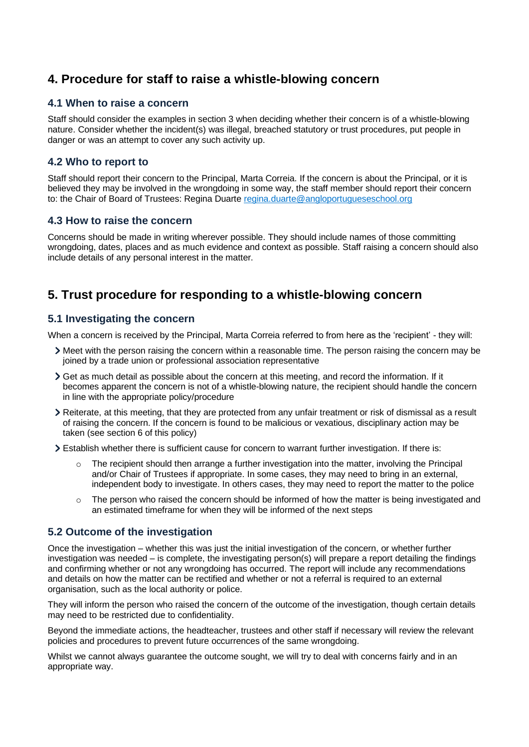## <span id="page-3-0"></span>**4. Procedure for staff to raise a whistle-blowing concern**

#### **4.1 When to raise a concern**

Staff should consider the examples in section 3 when deciding whether their concern is of a whistle-blowing nature. Consider whether the incident(s) was illegal, breached statutory or trust procedures, put people in danger or was an attempt to cover any such activity up.

#### **4.2 Who to report to**

Staff should report their concern to the Principal, Marta Correia. If the concern is about the Principal, or it is believed they may be involved in the wrongdoing in some way, the staff member should report their concern to: the Chair of Board of Trustees: Regina Duarte [regina.duarte@angloportugueseschool.org](mailto:regina.duarte@angloportugueseschool.org)

#### **4.3 How to raise the concern**

Concerns should be made in writing wherever possible. They should include names of those committing wrongdoing, dates, places and as much evidence and context as possible. Staff raising a concern should also include details of any personal interest in the matter.

## <span id="page-3-1"></span>**5. Trust procedure for responding to a whistle-blowing concern**

#### **5.1 Investigating the concern**

When a concern is received by the Principal, Marta Correia referred to from here as the 'recipient' - they will:

- Meet with the person raising the concern within a reasonable time. The person raising the concern may be joined by a trade union or professional association representative
- $\geq$  Get as much detail as possible about the concern at this meeting, and record the information. If it becomes apparent the concern is not of a whistle-blowing nature, the recipient should handle the concern in line with the appropriate policy/procedure
- Reiterate, at this meeting, that they are protected from any unfair treatment or risk of dismissal as a result of raising the concern. If the concern is found to be malicious or vexatious, disciplinary action may be taken (see section 6 of this policy)
- Establish whether there is sufficient cause for concern to warrant further investigation. If there is:
	- $\circ$  The recipient should then arrange a further investigation into the matter, involving the Principal and/or Chair of Trustees if appropriate. In some cases, they may need to bring in an external, independent body to investigate. In others cases, they may need to report the matter to the police
	- The person who raised the concern should be informed of how the matter is being investigated and an estimated timeframe for when they will be informed of the next steps

#### **5.2 Outcome of the investigation**

Once the investigation – whether this was just the initial investigation of the concern, or whether further investigation was needed – is complete, the investigating person(s) will prepare a report detailing the findings and confirming whether or not any wrongdoing has occurred. The report will include any recommendations and details on how the matter can be rectified and whether or not a referral is required to an external organisation, such as the local authority or police.

They will inform the person who raised the concern of the outcome of the investigation, though certain details may need to be restricted due to confidentiality.

Beyond the immediate actions, the headteacher, trustees and other staff if necessary will review the relevant policies and procedures to prevent future occurrences of the same wrongdoing.

Whilst we cannot always guarantee the outcome sought, we will try to deal with concerns fairly and in an appropriate way.